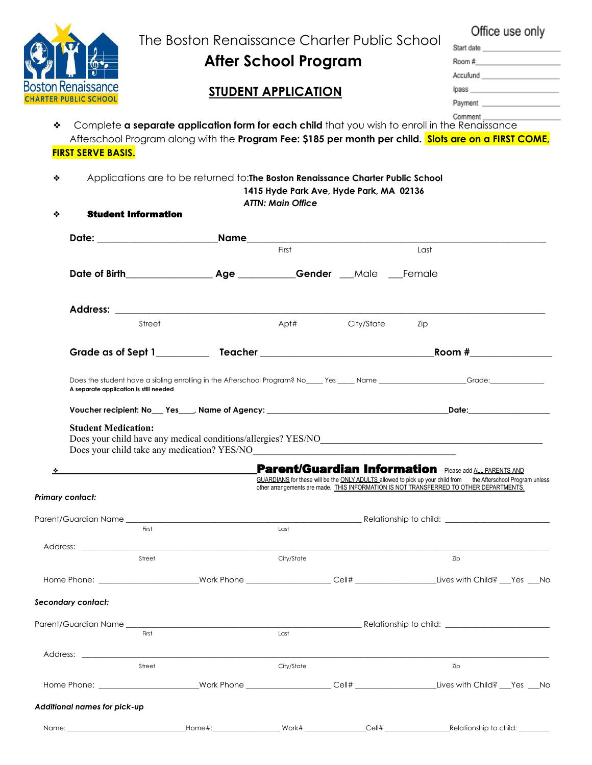|                                                                                                                                                                                                                                |                                                                                                                                                                                                                                |                                                                      |                                                                                                                             |            |      | Office use only                                                                                                                                                                                                                                                            |
|--------------------------------------------------------------------------------------------------------------------------------------------------------------------------------------------------------------------------------|--------------------------------------------------------------------------------------------------------------------------------------------------------------------------------------------------------------------------------|----------------------------------------------------------------------|-----------------------------------------------------------------------------------------------------------------------------|------------|------|----------------------------------------------------------------------------------------------------------------------------------------------------------------------------------------------------------------------------------------------------------------------------|
|                                                                                                                                                                                                                                |                                                                                                                                                                                                                                | The Boston Renaissance Charter Public School<br>After School Program |                                                                                                                             |            |      | Start date in the start of the start of the start of the start of the start of the start of the start of the start of the start of the start of the start of the start of the start of the start of the start of the start of<br>Room #______________________________      |
|                                                                                                                                                                                                                                |                                                                                                                                                                                                                                |                                                                      |                                                                                                                             |            |      | Accufund _________________________                                                                                                                                                                                                                                         |
| <b>Boston Renaissance</b><br><b>CHARTER PUBLIC SCHOOL</b>                                                                                                                                                                      | <b>STUDENT APPLICATION</b>                                                                                                                                                                                                     |                                                                      |                                                                                                                             |            |      | Payment _______________________                                                                                                                                                                                                                                            |
| ❖<br><b>FIRST SERVE BASIS.</b>                                                                                                                                                                                                 |                                                                                                                                                                                                                                |                                                                      |                                                                                                                             |            |      | $\begin{tabular}{c} Comment \end{tabular}$<br>Complete a separate application form for each child that you wish to enroll in the Renaissance<br>Afterschool Program along with the Program Fee: \$185 per month per child. Slots are on a FIRST COME,                      |
| ❖                                                                                                                                                                                                                              |                                                                                                                                                                                                                                |                                                                      | Applications are to be returned to: The Boston Renaissance Charter Public School<br>1415 Hyde Park Ave, Hyde Park, MA 02136 |            |      |                                                                                                                                                                                                                                                                            |
| ❖                                                                                                                                                                                                                              | <b>Student Information</b>                                                                                                                                                                                                     |                                                                      | <b>ATTN: Main Office</b>                                                                                                    |            |      |                                                                                                                                                                                                                                                                            |
|                                                                                                                                                                                                                                |                                                                                                                                                                                                                                |                                                                      |                                                                                                                             |            |      |                                                                                                                                                                                                                                                                            |
|                                                                                                                                                                                                                                | Date: the contract of the contract of the contract of the contract of the contract of the contract of the contract of the contract of the contract of the contract of the contract of the contract of the contract of the cont |                                                                      | First                                                                                                                       |            | Last |                                                                                                                                                                                                                                                                            |
|                                                                                                                                                                                                                                |                                                                                                                                                                                                                                |                                                                      | <b>Date of Birth Male Age Age Gender</b> Male Female                                                                        |            |      |                                                                                                                                                                                                                                                                            |
|                                                                                                                                                                                                                                |                                                                                                                                                                                                                                |                                                                      |                                                                                                                             |            |      |                                                                                                                                                                                                                                                                            |
|                                                                                                                                                                                                                                | Street                                                                                                                                                                                                                         |                                                                      | Apt#                                                                                                                        | City/State | Zip  |                                                                                                                                                                                                                                                                            |
|                                                                                                                                                                                                                                |                                                                                                                                                                                                                                |                                                                      |                                                                                                                             |            |      | Room#                                                                                                                                                                                                                                                                      |
|                                                                                                                                                                                                                                |                                                                                                                                                                                                                                |                                                                      |                                                                                                                             |            |      | Does the student have a sibling enrolling in the Afterschool Program? No ____ Yes ____ Name ___________________Grade: _________________                                                                                                                                    |
| A separate application is still needed<br><b>Student Medication:</b>                                                                                                                                                           |                                                                                                                                                                                                                                |                                                                      |                                                                                                                             |            |      | Does your child have any medical conditions/allergies? YES/NO                                                                                                                                                                                                              |
|                                                                                                                                                                                                                                | Does your child take any medication? YES/NO                                                                                                                                                                                    |                                                                      |                                                                                                                             |            |      |                                                                                                                                                                                                                                                                            |
| ۰                                                                                                                                                                                                                              |                                                                                                                                                                                                                                |                                                                      |                                                                                                                             |            |      | <b>Parent/Guardian Information</b> - Please add ALL PARENTS AND<br>GUARDIANS for these will be the ONLY ADULTS allowed to pick up your child from the Afterschool Program unless<br>other arrangements are made. THIS INFORMATION IS NOT TRANSFERRED TO OTHER DEPARTMENTS. |
|                                                                                                                                                                                                                                |                                                                                                                                                                                                                                |                                                                      |                                                                                                                             |            |      |                                                                                                                                                                                                                                                                            |
|                                                                                                                                                                                                                                | First                                                                                                                                                                                                                          |                                                                      | Last                                                                                                                        |            |      |                                                                                                                                                                                                                                                                            |
| Address: example, and the contract of the contract of the contract of the contract of the contract of the contract of the contract of the contract of the contract of the contract of the contract of the contract of the cont |                                                                                                                                                                                                                                |                                                                      |                                                                                                                             |            |      |                                                                                                                                                                                                                                                                            |
|                                                                                                                                                                                                                                | Street                                                                                                                                                                                                                         |                                                                      | City/State                                                                                                                  |            |      | Zip                                                                                                                                                                                                                                                                        |
|                                                                                                                                                                                                                                |                                                                                                                                                                                                                                |                                                                      |                                                                                                                             |            |      |                                                                                                                                                                                                                                                                            |
|                                                                                                                                                                                                                                |                                                                                                                                                                                                                                |                                                                      |                                                                                                                             |            |      |                                                                                                                                                                                                                                                                            |
|                                                                                                                                                                                                                                | First                                                                                                                                                                                                                          |                                                                      | last                                                                                                                        |            |      |                                                                                                                                                                                                                                                                            |
|                                                                                                                                                                                                                                | Street                                                                                                                                                                                                                         |                                                                      | City/State                                                                                                                  |            |      | Zip                                                                                                                                                                                                                                                                        |
| <b>Primary contact:</b><br>Secondary contact:                                                                                                                                                                                  |                                                                                                                                                                                                                                |                                                                      |                                                                                                                             |            |      |                                                                                                                                                                                                                                                                            |
| Additional names for pick-up                                                                                                                                                                                                   |                                                                                                                                                                                                                                |                                                                      |                                                                                                                             |            |      |                                                                                                                                                                                                                                                                            |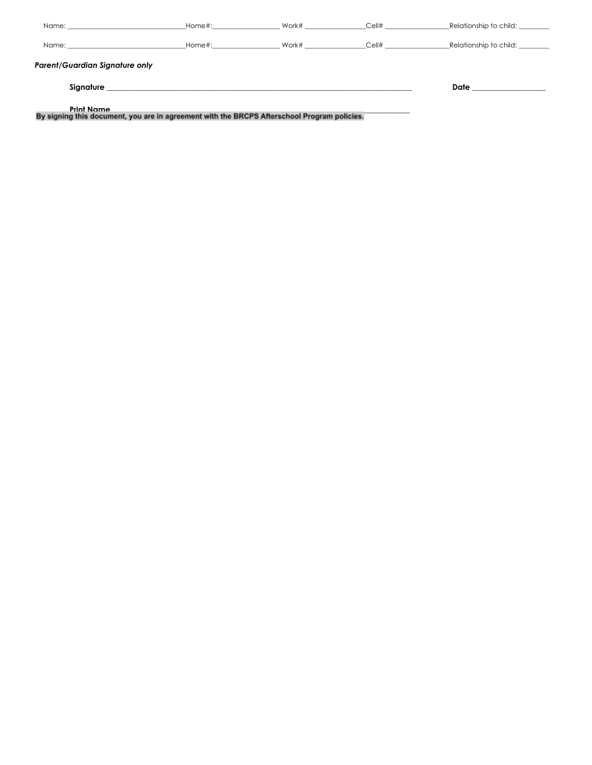| Name: when the contract of the contract of the contract of the contract of the contract of the contract of the contract of the contract of the contract of the contract of the contract of the contract of the contract of the | Home#: | Work# | Cell# | _Relationship to child: _______ |
|--------------------------------------------------------------------------------------------------------------------------------------------------------------------------------------------------------------------------------|--------|-------|-------|---------------------------------|
| Name: the contract of the contract of the contract of the contract of the contract of the contract of the contract of the contract of the contract of the contract of the contract of the contract of the contract of the cont | Home#: | Work# | Cell# | Relationship to child:          |
| Parent/Guardian Signature only                                                                                                                                                                                                 |        |       |       |                                 |
| Signature                                                                                                                                                                                                                      |        |       |       | Date                            |

Print Name<br>By signing this document, you are in agreement with the BRCPS Afterschool Program policies.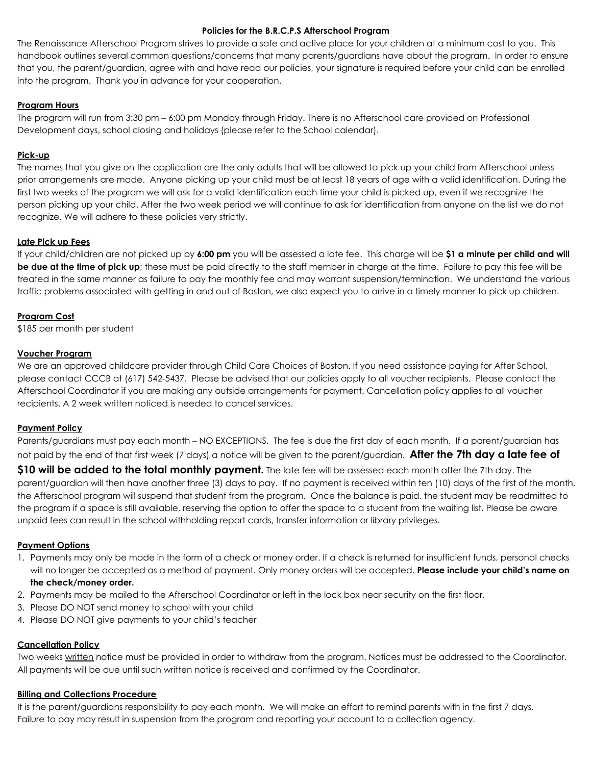#### **Policies for the B.R.C.P.S Afterschool Program**

The Renaissance Afterschool Program strives to provide a safe and active place for your children at a minimum cost to you. This handbook outlines several common questions/concerns that many parents/guardians have about the program. In order to ensure that you, the parent/guardian, agree with and have read our policies, your signature is required before your child can be enrolled into the program. Thank you in advance for your cooperation.

# **Program Hours**

The program will run from 3:30 pm – 6:00 pm Monday through Friday. There is no Afterschool care provided on Professional Development days, school closing and holidays (please refer to the School calendar).

### **Pick-up**

The names that you give on the application are the only adults that will be allowed to pick up your child from Afterschool unless prior arrangements are made. Anyone picking up your child must be at least 18 years of age with a valid identification. During the first two weeks of the program we will ask for a valid identification each time your child is picked up, even if we recognize the person picking up your child. After the two week period we will continue to ask for identification from anyone on the list we do not recognize. We will adhere to these policies very strictly.

#### **Late Pick up Fees**

If your child/children are not picked up by **6:00 pm** you will be assessed a late fee. This charge will be **\$1 a minute per child and will be due at the time of pick up**; these must be paid directly to the staff member in charge at the time. Failure to pay this fee will be treated in the same manner as failure to pay the monthly fee and may warrant suspension/termination. We understand the various traffic problems associated with getting in and out of Boston, we also expect you to arrive in a timely manner to pick up children.

# **Program Cost**

\$185 per month per student

#### **Voucher Program**

We are an approved childcare provider through Child Care Choices of Boston. If you need assistance paying for After School, please contact CCCB at (617) 542-5437. Please be advised that our policies apply to all voucher recipients. Please contact the Afterschool Coordinator if you are making any outside arrangements for payment. Cancellation policy applies to all voucher recipients. A 2 week written noticed is needed to cancel services.

# **Payment Policy**

Parents/guardians must pay each month – NO EXCEPTIONS. The fee is due the first day of each month. If a parent/guardian has not paid by the end of that first week (7 days) a notice will be given to the parent/guardian. **After the 7th day a late fee of**

**\$10 will be added to the total monthly payment.** The late fee will be assessed each month after the 7th day. The parent/guardian will then have another three (3) days to pay. If no payment is received within ten (10) days of the first of the month, the Afterschool program will suspend that student from the program. Once the balance is paid, the student may be readmitted to the program if a space is still available, reserving the option to offer the space to a student from the waiting list. Please be aware unpaid fees can result in the school withholding report cards, transfer information or library privileges.

# **Payment Options**

- 1. Payments may only be made in the form of a check or money order. If a check is returned for insufficient funds, personal checks will no longer be accepted as a method of payment. Only money orders will be accepted. **Please include your child's name on the check/money order.**
- 2. Payments may be mailed to the Afterschool Coordinator or left in the lock box near security on the first floor.
- 3. Please DO NOT send money to school with your child
- 4. Please DO NOT give payments to your child's teacher

# **Cancellation Policy**

Two weeks written notice must be provided in order to withdraw from the program. Notices must be addressed to the Coordinator. All payments will be due until such written notice is received and confirmed by the Coordinator.

#### **Billing and Collections Procedure**

It is the parent/guardians responsibility to pay each month. We will make an effort to remind parents with in the first 7 days. Failure to pay may result in suspension from the program and reporting your account to a collection agency.